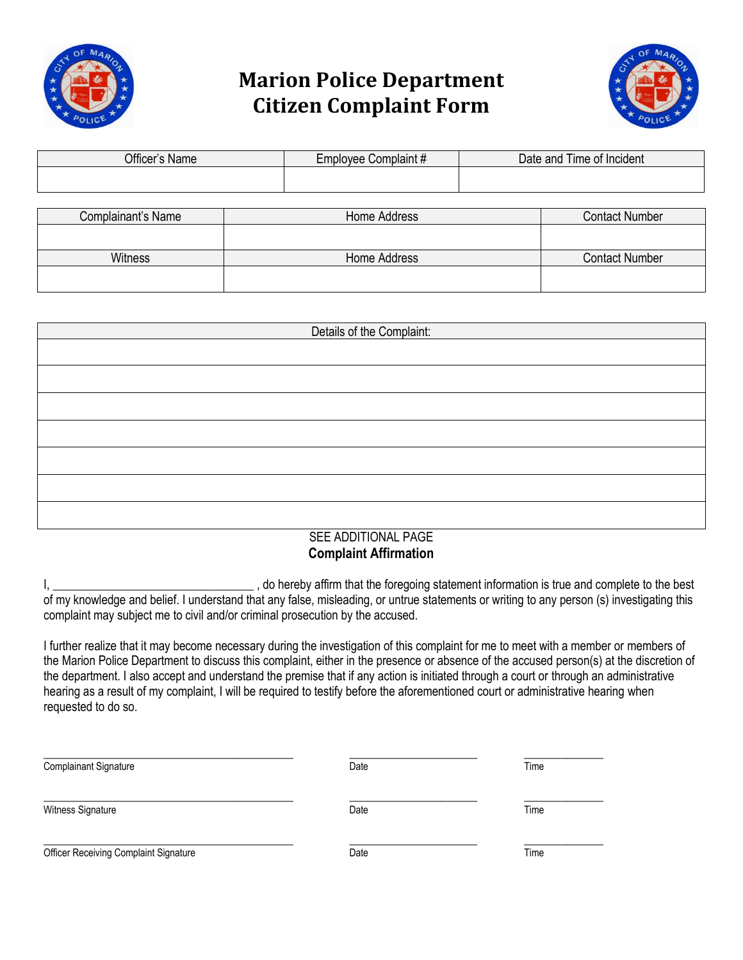

## **Marion Police Department Citizen Complaint Form**



| Officer's Name     |              | Employee Complaint# | Date and Time of Incident |  |
|--------------------|--------------|---------------------|---------------------------|--|
|                    |              |                     |                           |  |
|                    |              |                     |                           |  |
| Complainant's Name | Home Address |                     | <b>Contact Number</b>     |  |
|                    |              |                     |                           |  |
|                    |              |                     |                           |  |

Witness **Home Address** Home Address **Home Address** Contact Number

| Details of the Complaint: |  |  |  |  |
|---------------------------|--|--|--|--|
|                           |  |  |  |  |
|                           |  |  |  |  |
|                           |  |  |  |  |
|                           |  |  |  |  |
|                           |  |  |  |  |
|                           |  |  |  |  |
|                           |  |  |  |  |
|                           |  |  |  |  |
|                           |  |  |  |  |
|                           |  |  |  |  |
|                           |  |  |  |  |
|                           |  |  |  |  |
|                           |  |  |  |  |
|                           |  |  |  |  |
| [0.000]                   |  |  |  |  |

## SEE ADDITIONAL PAGE **Complaint Affirmation**

I, \_\_\_\_\_\_\_\_\_\_\_\_\_\_\_\_\_\_\_\_\_\_\_\_\_\_\_\_\_\_\_\_\_ , do hereby affirm that the foregoing statement information is true and complete to the best of my knowledge and belief. I understand that any false, misleading, or untrue statements or writing to any person (s) investigating this complaint may subject me to civil and/or criminal prosecution by the accused.

I further realize that it may become necessary during the investigation of this complaint for me to meet with a member or members of the Marion Police Department to discuss this complaint, either in the presence or absence of the accused person(s) at the discretion of the department. I also accept and understand the premise that if any action is initiated through a court or through an administrative hearing as a result of my complaint, I will be required to testify before the aforementioned court or administrative hearing when requested to do so.

| <b>Complainant Signature</b>                 | Date | Time |
|----------------------------------------------|------|------|
| Witness Signature                            | Date | Time |
| <b>Officer Receiving Complaint Signature</b> | Date | Time |